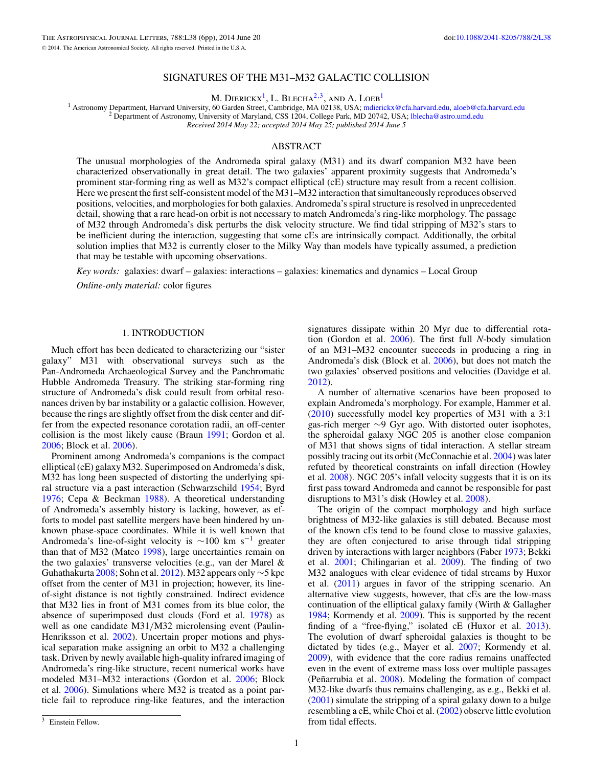# SIGNATURES OF THE M31–M32 GALACTIC COLLISION

M. DIERICKX<sup>1</sup>, L. BLECHA<sup>2,3</sup>, AND A. LOEB<sup>1</sup>

<sup>1</sup> Astronomy Department, Harvard University, 60 Garden Street, Cambridge, MA 02138, USA; [mdierickx@cfa.harvard.edu,](mailto:mdierickx@cfa.harvard.edu) [aloeb@cfa.harvard.edu](mailto:aloeb@cfa.harvard.edu)<br><sup>2</sup> Department of Astronomy, University of Maryland, CSS 1204, College Park, MD 207 *Received 2014 May 22; accepted 2014 May 25; published 2014 June 5*

### ABSTRACT

The unusual morphologies of the Andromeda spiral galaxy (M31) and its dwarf companion M32 have been characterized observationally in great detail. The two galaxies' apparent proximity suggests that Andromeda's prominent star-forming ring as well as M32's compact elliptical (cE) structure may result from a recent collision. Here we present the first self-consistent model of the M31–M32 interaction that simultaneously reproduces observed positions, velocities, and morphologies for both galaxies. Andromeda's spiral structure is resolved in unprecedented detail, showing that a rare head-on orbit is not necessary to match Andromeda's ring-like morphology. The passage of M32 through Andromeda's disk perturbs the disk velocity structure. We find tidal stripping of M32's stars to be inefficient during the interaction, suggesting that some cEs are intrinsically compact. Additionally, the orbital solution implies that M32 is currently closer to the Milky Way than models have typically assumed, a prediction that may be testable with upcoming observations.

*Key words:* galaxies: dwarf – galaxies: interactions – galaxies: kinematics and dynamics – Local Group

*Online-only material:* color figures

#### 1. INTRODUCTION

Much effort has been dedicated to characterizing our "sister galaxy" M31 with observational surveys such as the Pan-Andromeda Archaeological Survey and the Panchromatic Hubble Andromeda Treasury. The striking star-forming ring structure of Andromeda's disk could result from orbital resonances driven by bar instability or a galactic collision. However, because the rings are slightly offset from the disk center and differ from the expected resonance corotation radii, an off-center collision is the most likely cause (Braun [1991;](#page-5-0) Gordon et al. [2006;](#page-5-0) Block et al. [2006\)](#page-5-0).

Prominent among Andromeda's companions is the compact elliptical (cE) galaxy M32. Superimposed on Andromeda's disk, M32 has long been suspected of distorting the underlying spiral structure via a past interaction (Schwarzschild [1954;](#page-5-0) Byrd [1976;](#page-5-0) Cepa & Beckman [1988\)](#page-5-0). A theoretical understanding of Andromeda's assembly history is lacking, however, as efforts to model past satellite mergers have been hindered by unknown phase-space coordinates. While it is well known that Andromeda's line-of-sight velocity is  $\sim$ 100 km s<sup>-1</sup> greater than that of M32 (Mateo [1998\)](#page-5-0), large uncertainties remain on the two galaxies' transverse velocities (e.g., van der Marel & Guhathakurta [2008;](#page-5-0) Sohn et al. [2012\)](#page-5-0). M32 appears only  $\sim$ 5 kpc offset from the center of M31 in projection; however, its lineof-sight distance is not tightly constrained. Indirect evidence that M32 lies in front of M31 comes from its blue color, the absence of superimposed dust clouds (Ford et al. [1978\)](#page-5-0) as well as one candidate M31*/*M32 microlensing event (Paulin-Henriksson et al. [2002\)](#page-5-0). Uncertain proper motions and physical separation make assigning an orbit to M32 a challenging task. Driven by newly available high-quality infrared imaging of Andromeda's ring-like structure, recent numerical works have modeled M31–M32 interactions (Gordon et al. [2006;](#page-5-0) Block et al. [2006\)](#page-5-0). Simulations where M32 is treated as a point particle fail to reproduce ring-like features, and the interaction

A number of alternative scenarios have been proposed to explain Andromeda's morphology. For example, Hammer et al. [\(2010\)](#page-5-0) successfully model key properties of M31 with a 3:1 gas-rich merger ∼9 Gyr ago. With distorted outer isophotes, the spheroidal galaxy NGC 205 is another close companion of M31 that shows signs of tidal interaction. A stellar stream possibly tracing out its orbit (McConnachie et al. [2004\)](#page-5-0) was later refuted by theoretical constraints on infall direction (Howley et al. [2008\)](#page-5-0). NGC 205's infall velocity suggests that it is on its first pass toward Andromeda and cannot be responsible for past disruptions to M31's disk (Howley et al. [2008\)](#page-5-0).

The origin of the compact morphology and high surface brightness of M32-like galaxies is still debated. Because most of the known cEs tend to be found close to massive galaxies, they are often conjectured to arise through tidal stripping driven by interactions with larger neighbors (Faber [1973;](#page-5-0) Bekki et al. [2001;](#page-5-0) Chilingarian et al. [2009\)](#page-5-0). The finding of two M32 analogues with clear evidence of tidal streams by Huxor et al. [\(2011\)](#page-5-0) argues in favor of the stripping scenario. An alternative view suggests, however, that cEs are the low-mass continuation of the elliptical galaxy family (Wirth & Gallagher [1984;](#page-5-0) Kormendy et al. [2009\)](#page-5-0). This is supported by the recent finding of a "free-flying," isolated cE (Huxor et al. [2013\)](#page-5-0). The evolution of dwarf spheroidal galaxies is thought to be dictated by tides (e.g., Mayer et al. [2007;](#page-5-0) Kormendy et al. [2009\)](#page-5-0), with evidence that the core radius remains unaffected even in the event of extreme mass loss over multiple passages (Peñarrubia et al.  $2008$ ). Modeling the formation of compact M32-like dwarfs thus remains challenging, as e.g., Bekki et al. [\(2001\)](#page-5-0) simulate the stripping of a spiral galaxy down to a bulge resembling a cE, while Choi et al. [\(2002\)](#page-5-0) observe little evolution from tidal effects.

signatures dissipate within 20 Myr due to differential rotation (Gordon et al. [2006\)](#page-5-0). The first full *N*-body simulation of an M31–M32 encounter succeeds in producing a ring in Andromeda's disk (Block et al. [2006\)](#page-5-0), but does not match the two galaxies' observed positions and velocities (Davidge et al. [2012\)](#page-5-0).

<sup>&</sup>lt;sup>3</sup> Einstein Fellow.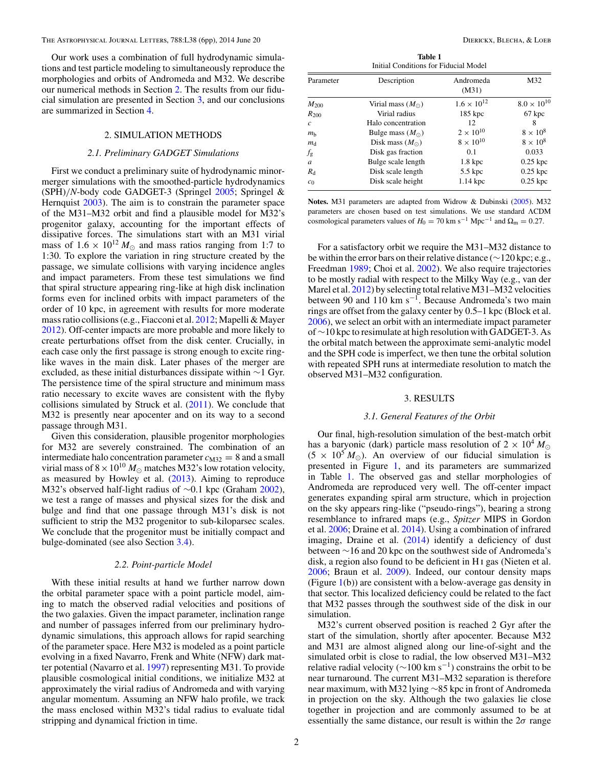Our work uses a combination of full hydrodynamic simulations and test particle modeling to simultaneously reproduce the morphologies and orbits of Andromeda and M32. We describe our numerical methods in Section 2. The results from our fiducial simulation are presented in Section 3, and our conclusions are summarized in Section [4.](#page-5-0)

## 2. SIMULATION METHODS

#### *2.1. Preliminary GADGET Simulations*

First we conduct a preliminary suite of hydrodynamic minormerger simulations with the smoothed-particle hydrodynamics (SPH)*/N*-body code GADGET-3 (Springel [2005;](#page-5-0) Springel & Hernquist [2003\)](#page-5-0). The aim is to constrain the parameter space of the M31–M32 orbit and find a plausible model for M32's progenitor galaxy, accounting for the important effects of dissipative forces. The simulations start with an M31 virial mass of  $1.6 \times 10^{12} M_{\odot}$  and mass ratios ranging from 1:7 to 1:30. To explore the variation in ring structure created by the passage, we simulate collisions with varying incidence angles and impact parameters. From these test simulations we find that spiral structure appearing ring-like at high disk inclination forms even for inclined orbits with impact parameters of the order of 10 kpc, in agreement with results for more moderate mass ratio collisions (e.g., Fiacconi et al. [2012;](#page-5-0) Mapelli & Mayer [2012\)](#page-5-0). Off-center impacts are more probable and more likely to create perturbations offset from the disk center. Crucially, in each case only the first passage is strong enough to excite ringlike waves in the main disk. Later phases of the merger are excluded, as these initial disturbances dissipate within ∼1 Gyr. The persistence time of the spiral structure and minimum mass ratio necessary to excite waves are consistent with the flyby collisions simulated by Struck et al. [\(2011\)](#page-5-0). We conclude that M32 is presently near apocenter and on its way to a second passage through M31.

Given this consideration, plausible progenitor morphologies for M32 are severely constrained. The combination of an intermediate halo concentration parameter  $c_{M32} = 8$  and a small virial mass of  $8 \times 10^{10} M_{\odot}$  matches M32's low rotation velocity, as measured by Howley et al. [\(2013\)](#page-5-0). Aiming to reproduce M32's observed half-light radius of ∼0.1 kpc (Graham [2002\)](#page-5-0), we test a range of masses and physical sizes for the disk and bulge and find that one passage through M31's disk is not sufficient to strip the M32 progenitor to sub-kiloparsec scales. We conclude that the progenitor must be initially compact and bulge-dominated (see also Section [3.4\)](#page-3-0).

#### *2.2. Point-particle Model*

With these initial results at hand we further narrow down the orbital parameter space with a point particle model, aiming to match the observed radial velocities and positions of the two galaxies. Given the impact parameter, inclination range and number of passages inferred from our preliminary hydrodynamic simulations, this approach allows for rapid searching of the parameter space. Here M32 is modeled as a point particle evolving in a fixed Navarro, Frenk and White (NFW) dark matter potential (Navarro et al. [1997\)](#page-5-0) representing M31. To provide plausible cosmological initial conditions, we initialize M32 at approximately the virial radius of Andromeda and with varying angular momentum. Assuming an NFW halo profile, we track the mass enclosed within M32's tidal radius to evaluate tidal stripping and dynamical friction in time.

**Table 1** Initial Conditions for Fiducial Model

| Parameter      | Description               | Andromeda<br>(M31)   | M32                  |
|----------------|---------------------------|----------------------|----------------------|
| $M_{200}$      | Virial mass $(M_{\odot})$ | $1.6 \times 10^{12}$ | $8.0 \times 10^{10}$ |
| $R_{200}$      | Virial radius             | $185$ kpc            | 67 kpc               |
| $\mathcal{C}$  | Halo concentration        | 12                   | 8                    |
| m <sub>b</sub> | Bulge mass $(M_{\odot})$  | $2 \times 10^{10}$   | $8 \times 10^8$      |
| $m_d$          | Disk mass $(M_{\odot})$   | $8 \times 10^{10}$   | $8 \times 10^8$      |
| $f_{\rm g}$    | Disk gas fraction         | 0.1                  | 0.033                |
| a              | Bulge scale length        | $1.8 \text{ kpc}$    | $0.25$ kpc           |
| $R_{\rm d}$    | Disk scale length         | 5.5 kpc              | $0.25$ kpc           |
| $c_0$          | Disk scale height         | $1.14 \text{ kpc}$   | $0.25$ kpc           |

**Notes.** M31 parameters are adapted from Widrow & Dubinski [\(2005\)](#page-5-0). M32 parameters are chosen based on test simulations. We use standard ΛCDM cosmological parameters values of  $H_0 = 70 \text{ km s}^{-1} \text{ Mpc}^{-1}$  and  $\Omega_{\text{m}} = 0.27$ .

For a satisfactory orbit we require the M31–M32 distance to be within the error bars on their relative distance (∼120 kpc; e.g., Freedman [1989;](#page-5-0) Choi et al. [2002\)](#page-5-0). We also require trajectories to be mostly radial with respect to the Milky Way (e.g., van der Marel et al. [2012\)](#page-5-0) by selecting total relative M31–M32 velocities between 90 and 110 km s<sup>-1</sup>. Because Andromeda's two main rings are offset from the galaxy center by 0.5–1 kpc (Block et al. [2006\)](#page-5-0), we select an orbit with an intermediate impact parameter of ∼10 kpc to resimulate at high resolution with GADGET-3. As the orbital match between the approximate semi-analytic model and the SPH code is imperfect, we then tune the orbital solution with repeated SPH runs at intermediate resolution to match the observed M31–M32 configuration.

#### 3. RESULTS

#### *3.1. General Features of the Orbit*

Our final, high-resolution simulation of the best-match orbit has a baryonic (dark) particle mass resolution of  $2 \times 10^4 M_{\odot}$  $(5 \times 10^5 M_{\odot})$ . An overview of our fiducial simulation is presented in Figure [1,](#page-2-0) and its parameters are summarized in Table 1. The observed gas and stellar morphologies of Andromeda are reproduced very well. The off-center impact generates expanding spiral arm structure, which in projection on the sky appears ring-like ("pseudo-rings"), bearing a strong resemblance to infrared maps (e.g., *Spitzer* MIPS in Gordon et al. [2006;](#page-5-0) Draine et al. [2014\)](#page-5-0). Using a combination of infrared imaging, Draine et al. [\(2014\)](#page-5-0) identify a deficiency of dust between ∼16 and 20 kpc on the southwest side of Andromeda's disk, a region also found to be deficient in H i gas (Nieten et al. [2006;](#page-5-0) Braun et al. [2009\)](#page-5-0). Indeed, our contour density maps (Figure  $1(b)$  $1(b)$ ) are consistent with a below-average gas density in that sector. This localized deficiency could be related to the fact that M32 passes through the southwest side of the disk in our simulation.

M32's current observed position is reached 2 Gyr after the start of the simulation, shortly after apocenter. Because M32 and M31 are almost aligned along our line-of-sight and the simulated orbit is close to radial, the low observed M31–M32 relative radial velocity ( $\sim$ 100 km s<sup>-1</sup>) constrains the orbit to be near turnaround. The current M31–M32 separation is therefore near maximum, with M32 lying ∼85 kpc in front of Andromeda in projection on the sky. Although the two galaxies lie close together in projection and are commonly assumed to be at essentially the same distance, our result is within the  $2\sigma$  range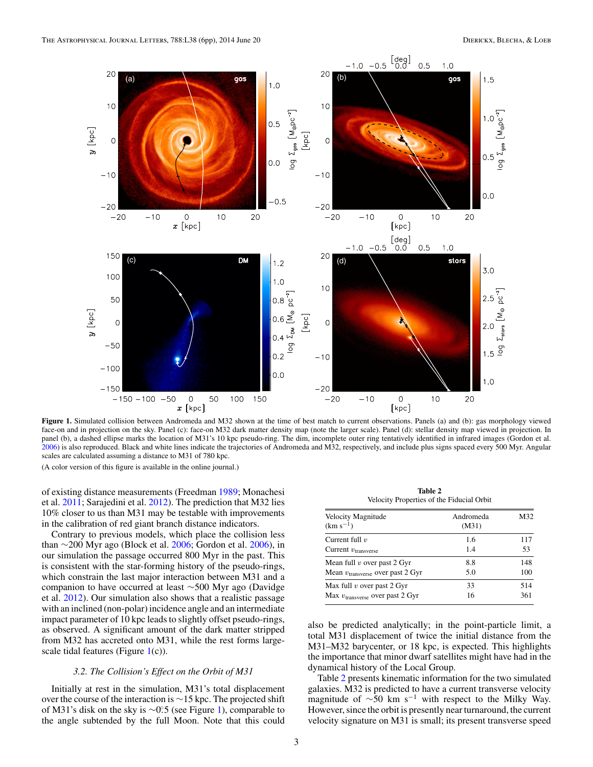<span id="page-2-0"></span>

**Figure 1.** Simulated collision between Andromeda and M32 shown at the time of best match to current observations. Panels (a) and (b): gas morphology viewed face-on and in projection on the sky. Panel (c): face-on M32 dark matter density map (note the larger scale). Panel (d): stellar density map viewed in projection. In panel (b), a dashed ellipse marks the location of M31's 10 kpc pseudo-ring. The dim, incomplete outer ring tentatively identified in infrared images (Gordon et al. [2006\)](#page-5-0) is also reproduced. Black and white lines indicate the trajectories of Andromeda and M32, respectively, and include plus signs spaced every 500 Myr. Angular scales are calculated assuming a distance to M31 of 780 kpc.

(A color version of this figure is available in the online journal.)

of existing distance measurements (Freedman [1989;](#page-5-0) Monachesi et al. [2011;](#page-5-0) Sarajedini et al. [2012\)](#page-5-0). The prediction that M32 lies 10% closer to us than M31 may be testable with improvements in the calibration of red giant branch distance indicators.

Contrary to previous models, which place the collision less than  $\sim$ 200 Myr ago (Block et al. [2006;](#page-5-0) Gordon et al. [2006\)](#page-5-0), in our simulation the passage occurred 800 Myr in the past. This is consistent with the star-forming history of the pseudo-rings, which constrain the last major interaction between M31 and a companion to have occurred at least ∼500 Myr ago (Davidge et al. [2012\)](#page-5-0). Our simulation also shows that a realistic passage with an inclined (non-polar) incidence angle and an intermediate impact parameter of 10 kpc leads to slightly offset pseudo-rings, as observed. A significant amount of the dark matter stripped from M32 has accreted onto M31, while the rest forms largescale tidal features (Figure  $1(c)$ ).

#### *3.2. The Collision's Effect on the Orbit of M31*

Initially at rest in the simulation, M31's total displacement over the course of the interaction is ∼15 kpc. The projected shift of M31's disk on the sky is ∼0°.5 (see Figure 1), comparable to the angle subtended by the full Moon. Note that this could

**Table 2** Velocity Properties of the Fiducial Orbit

| Velocity Magnitude<br>$(km s^{-1})$          | Andromeda<br>(M31) | M32 |
|----------------------------------------------|--------------------|-----|
| Current full $v$                             | 1.6                | 117 |
| Current $v_{\text{transverse}}$              | 1.4                | 53  |
| Mean full $v$ over past 2 Gyr                | 8.8                | 148 |
| Mean v <sub>transverse</sub> over past 2 Gyr | 5.0                | 100 |
| Max full $v$ over past 2 Gyr                 | 33                 | 514 |
| Max v <sub>transverse</sub> over past 2 Gyr  | 16                 | 361 |

also be predicted analytically; in the point-particle limit, a total M31 displacement of twice the initial distance from the M31–M32 barycenter, or 18 kpc, is expected. This highlights the importance that minor dwarf satellites might have had in the dynamical history of the Local Group.

Table 2 presents kinematic information for the two simulated galaxies. M32 is predicted to have a current transverse velocity magnitude of  $\sim$ 50 km s<sup>-1</sup> with respect to the Milky Way. However, since the orbit is presently near turnaround, the current velocity signature on M31 is small; its present transverse speed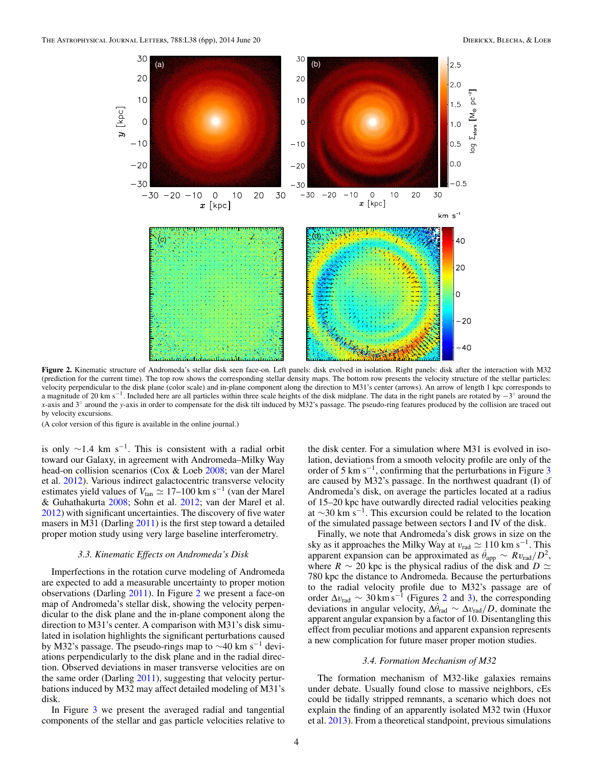<span id="page-3-0"></span>

**Figure 2.** Kinematic structure of Andromeda's stellar disk seen face-on. Left panels: disk evolved in isolation. Right panels: disk after the interaction with M32 (prediction for the current time). The top row shows the corresponding stellar density maps. The bottom row presents the velocity structure of the stellar particles: velocity perpendicular to the disk plane (color scale) and in-plane component along the direction to M31's center (arrows). An arrow of length 1 kpc corresponds to a magnitude of 20 km s<sup>-1</sup>. Included here are all particles within three scale heights of the disk midplane. The data in the right panels are rotated by  $-3^\circ$  around the *x*-axis and  $3°$  around the *y*-axis in order to compensate for the disk tilt induced by M32's passage. The pseudo-ring features produced by the collision are traced out by velocity excursions.

(A color version of this figure is available in the online journal.)

is only  $\sim$ 1.4 km s<sup>-1</sup>. This is consistent with a radial orbit toward our Galaxy, in agreement with Andromeda–Milky Way head-on collision scenarios (Cox & Loeb [2008;](#page-5-0) van der Marel et al. [2012\)](#page-5-0). Various indirect galactocentric transverse velocity estimates yield values of  $V_{tan} \simeq 17–100$  km s<sup>-1</sup> (van der Marel & Guhathakurta [2008;](#page-5-0) Sohn et al. [2012;](#page-5-0) van der Marel et al. [2012\)](#page-5-0) with significant uncertainties. The discovery of five water masers in M31 (Darling [2011\)](#page-5-0) is the first step toward a detailed proper motion study using very large baseline interferometry.

#### *3.3. Kinematic Effects on Andromeda's Disk*

Imperfections in the rotation curve modeling of Andromeda are expected to add a measurable uncertainty to proper motion observations (Darling [2011\)](#page-5-0). In Figure 2 we present a face-on map of Andromeda's stellar disk, showing the velocity perpendicular to the disk plane and the in-plane component along the direction to M31's center. A comparison with M31's disk simulated in isolation highlights the significant perturbations caused by M32's passage. The pseudo-rings map to <sup>∼</sup>40 km s−<sup>1</sup> deviations perpendicularly to the disk plane and in the radial direction. Observed deviations in maser transverse velocities are on the same order (Darling [2011\)](#page-5-0), suggesting that velocity perturbations induced by M32 may affect detailed modeling of M31's disk.

In Figure [3](#page-4-0) we present the averaged radial and tangential components of the stellar and gas particle velocities relative to the disk center. For a simulation where M31 is evolved in isolation, deviations from a smooth velocity profile are only of the order of 5 km s−1, confirming that the perturbations in Figure [3](#page-4-0) are caused by M32's passage. In the northwest quadrant (I) of Andromeda's disk, on average the particles located at a radius of 15–20 kpc have outwardly directed radial velocities peaking at  $\sim$ 30 km s<sup>-1</sup>. This excursion could be related to the location of the simulated passage between sectors I and IV of the disk.

Finally, we note that Andromeda's disk grows in size on the sky as it approaches the Milky Way at  $v_{\text{rad}} \simeq 110 \text{ km s}^{-1}$ . This apparent expansion can be approximated as  $\theta_{\text{app}} \sim R v_{\text{rad}}/D^2$ , where *R*  $\sim$  20 kpc is the physical radius of the disk and *D*  $\approx$ 780 kpc the distance to Andromeda. Because the perturbations to the radial velocity profile due to M32's passage are of order  $\Delta v_{\text{rad}} \sim 30 \text{ km s}^{-1}$  (Figures 2 and [3\)](#page-4-0), the corresponding deviations in angular velocity,  $\Delta\theta_{\text{rad}} \sim \Delta v_{\text{rad}}/D$ , dominate the apparent angular expansion by a factor of 10. Disentangling this effect from peculiar motions and apparent expansion represents a new complication for future maser proper motion studies.

### *3.4. Formation Mechanism of M32*

The formation mechanism of M32-like galaxies remains under debate. Usually found close to massive neighbors, cEs could be tidally stripped remnants, a scenario which does not explain the finding of an apparently isolated M32 twin (Huxor et al. [2013\)](#page-5-0). From a theoretical standpoint, previous simulations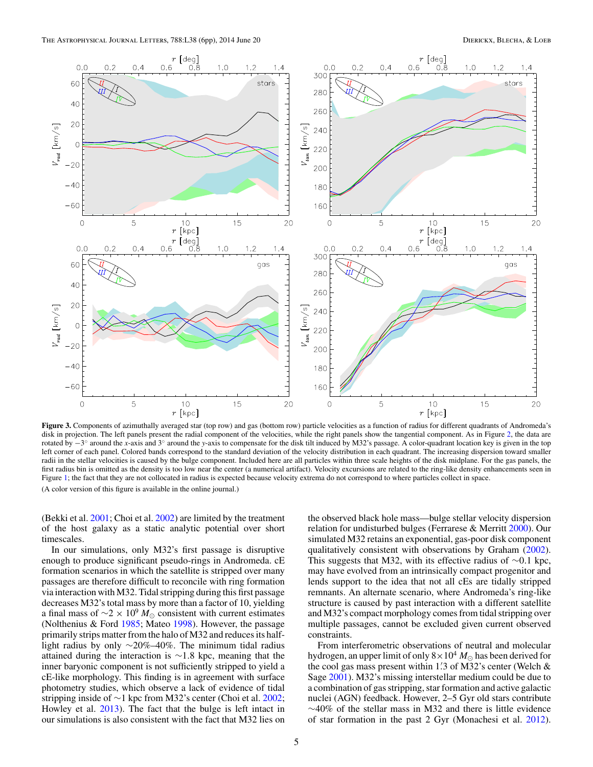<span id="page-4-0"></span>

Figure 3. Components of azimuthally averaged star (top row) and gas (bottom row) particle velocities as a function of radius for different quadrants of Andromeda's disk in projection. The left panels present the radial component of the velocities, while the right panels show the tangential component. As in Figure [2,](#page-3-0) the data are rotated by −3◦ around the *x*-axis and 3◦ around the *y*-axis to compensate for the disk tilt induced by M32's passage. A color-quadrant location key is given in the top left corner of each panel. Colored bands correspond to the standard deviation of the velocity distribution in each quadrant. The increasing dispersion toward smaller radii in the stellar velocities is caused by the bulge component. Included here are all particles within three scale heights of the disk midplane. For the gas panels, the first radius bin is omitted as the density is too low near the center (a numerical artifact). Velocity excursions are related to the ring-like density enhancements seen in Figure [1;](#page-2-0) the fact that they are not collocated in radius is expected because velocity extrema do not correspond to where particles collect in space. (A color version of this figure is available in the online journal.)

(Bekki et al. [2001;](#page-5-0) Choi et al. [2002\)](#page-5-0) are limited by the treatment of the host galaxy as a static analytic potential over short timescales.

In our simulations, only M32's first passage is disruptive enough to produce significant pseudo-rings in Andromeda. cE formation scenarios in which the satellite is stripped over many passages are therefore difficult to reconcile with ring formation via interaction with M32. Tidal stripping during this first passage decreases M32's total mass by more than a factor of 10, yielding a final mass of  $\sim$ 2 × 10<sup>9</sup>  $M_{\odot}$  consistent with current estimates (Nolthenius & Ford [1985;](#page-5-0) Mateo [1998\)](#page-5-0). However, the passage primarily strips matter from the halo of M32 and reduces its halflight radius by only ∼20%–40%. The minimum tidal radius attained during the interaction is ∼1*.*8 kpc, meaning that the inner baryonic component is not sufficiently stripped to yield a cE-like morphology. This finding is in agreement with surface photometry studies, which observe a lack of evidence of tidal stripping inside of ∼1 kpc from M32's center (Choi et al. [2002;](#page-5-0) Howley et al. [2013\)](#page-5-0). The fact that the bulge is left intact in our simulations is also consistent with the fact that M32 lies on

the observed black hole mass—bulge stellar velocity dispersion relation for undisturbed bulges (Ferrarese & Merritt [2000\)](#page-5-0). Our simulated M32 retains an exponential, gas-poor disk component qualitatively consistent with observations by Graham [\(2002\)](#page-5-0). This suggests that M32, with its effective radius of ∼0*.*1 kpc, may have evolved from an intrinsically compact progenitor and lends support to the idea that not all cEs are tidally stripped remnants. An alternate scenario, where Andromeda's ring-like structure is caused by past interaction with a different satellite and M32's compact morphology comes from tidal stripping over multiple passages, cannot be excluded given current observed constraints.

From interferometric observations of neutral and molecular hydrogen, an upper limit of only  $8 \times 10^4$  *M*<sub> $\odot$ </sub> has been derived for the cool gas mass present within 1*.* 3 of M32's center (Welch & Sage [2001\)](#page-5-0). M32's missing interstellar medium could be due to a combination of gas stripping, star formation and active galactic nuclei (AGN) feedback. However, 2–5 Gyr old stars contribute ∼40% of the stellar mass in M32 and there is little evidence of star formation in the past 2 Gyr (Monachesi et al. [2012\)](#page-5-0).